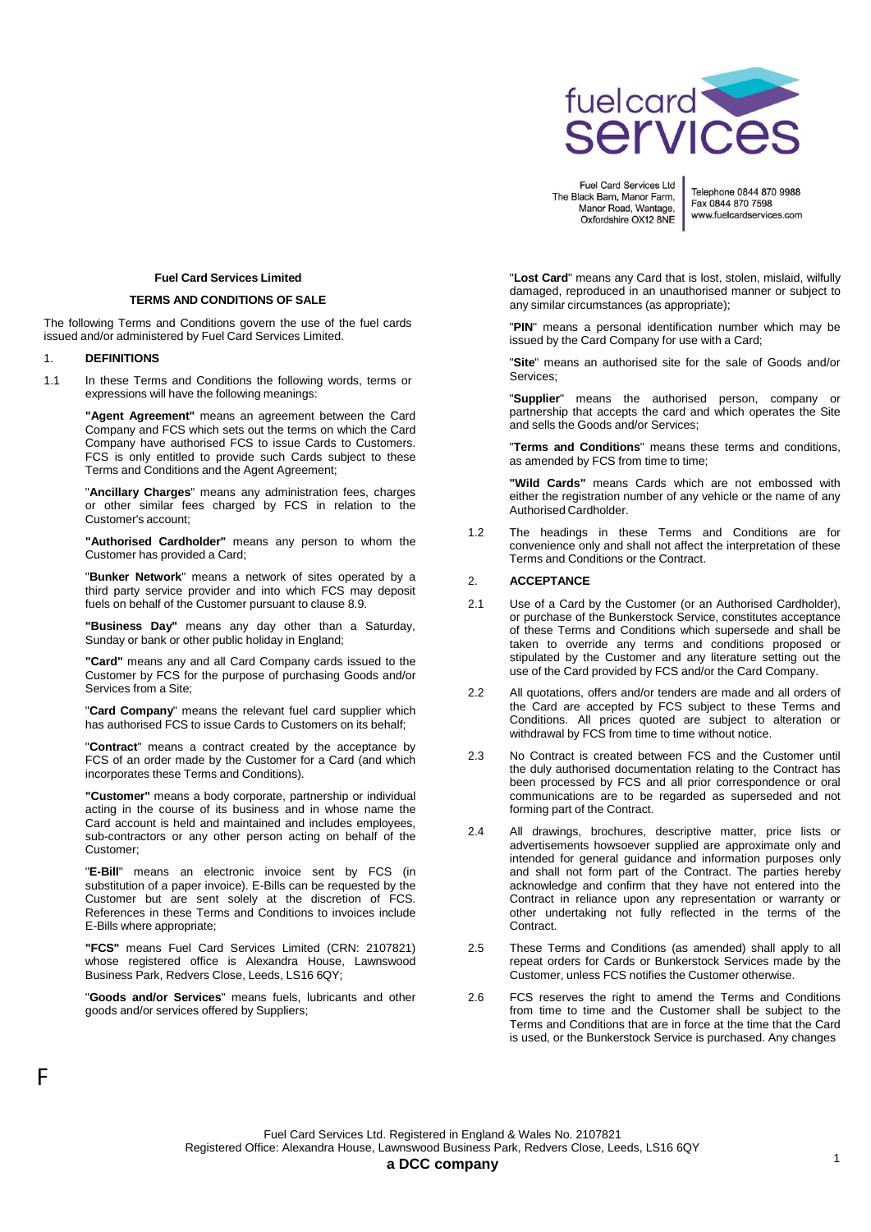

Telephone 0844 870 9988 Fax 0844 870 7598 www.fuelcardservices.com

# **Fuel Card Services Limited**

#### **TERMS AND CONDITIONS OF SALE**

The following Terms and Conditions govern the use of the fuel cards issued and/or administered by Fuel Card Services Limited.

### 1. **DEFINITIONS**

F

1.1 In these Terms and Conditions the following words, terms or expressions will have the following meanings:

> **"Agent Agreement"** means an agreement between the Card Company and FCS which sets out the terms on which the Card Company have authorised FCS to issue Cards to Customers. FCS is only entitled to provide such Cards subject to these Terms and Conditions and the Agent Agreement;

> "**Ancillary Charges**" means any administration fees, charges or other similar fees charged by FCS in relation to the Customer's account;

> **"Authorised Cardholder"** means any person to whom the Customer has provided a Card;

> "**Bunker Network**" means a network of sites operated by a third party service provider and into which FCS may deposit fuels on behalf of the Customer pursuant to clause 8.9.

> **"Business Day"** means any day other than a Saturday, Sunday or bank or other public holiday in England;

> **"Card"** means any and all Card Company cards issued to the Customer by FCS for the purpose of purchasing Goods and/or Services from a Site;

> "**Card Company**" means the relevant fuel card supplier which has authorised FCS to issue Cards to Customers on its behalf;

> "**Contract**" means a contract created by the acceptance by FCS of an order made by the Customer for a Card (and which incorporates these Terms and Conditions).

> **"Customer"** means a body corporate, partnership or individual acting in the course of its business and in whose name the Card account is held and maintained and includes employees, sub-contractors or any other person acting on behalf of the Customer;

> "**E-Bill**" means an electronic invoice sent by FCS (in substitution of a paper invoice). E-Bills can be requested by the Customer but are sent solely at the discretion of FCS. References in these Terms and Conditions to invoices include E-Bills where appropriate;

> **"FCS"** means Fuel Card Services Limited (CRN: 2107821) whose registered office is Alexandra House, Lawnswood Business Park, Redvers Close, Leeds, LS16 6QY;

> "**Goods and/or Services**" means fuels, lubricants and other goods and/or services offered by Suppliers;

"**Lost Card**" means any Card that is lost, stolen, mislaid, wilfully damaged, reproduced in an unauthorised manner or subject to any similar circumstances (as appropriate);

"**PIN**" means a personal identification number which may be issued by the Card Company for use with a Card;

"**Site**" means an authorised site for the sale of Goods and/or Services;

"**Supplier**" means the authorised person, company or partnership that accepts the card and which operates the Site and sells the Goods and/or Services;

"**Terms and Conditions**" means these terms and conditions, as amended by FCS from time to time;

**"Wild Cards"** means Cards which are not embossed with either the registration number of any vehicle or the name of any Authorised Cardholder.

1.2 The headings in these Terms and Conditions are for convenience only and shall not affect the interpretation of these Terms and Conditions or the Contract.

#### 2. **ACCEPTANCE**

- 2.1 Use of a Card by the Customer (or an Authorised Cardholder), or purchase of the Bunkerstock Service, constitutes acceptance of these Terms and Conditions which supersede and shall be taken to override any terms and conditions proposed or stipulated by the Customer and any literature setting out the use of the Card provided by FCS and/or the Card Company.
- 2.2 All quotations, offers and/or tenders are made and all orders of the Card are accepted by FCS subject to these Terms and Conditions. All prices quoted are subject to alteration or withdrawal by FCS from time to time without notice.
- 2.3 No Contract is created between FCS and the Customer until the duly authorised documentation relating to the Contract has been processed by FCS and all prior correspondence or oral communications are to be regarded as superseded and not forming part of the Contract.
- 2.4 All drawings, brochures, descriptive matter, price lists or advertisements howsoever supplied are approximate only and intended for general guidance and information purposes only and shall not form part of the Contract. The parties hereby acknowledge and confirm that they have not entered into the Contract in reliance upon any representation or warranty or other undertaking not fully reflected in the terms of the Contract.
- 2.5 These Terms and Conditions (as amended) shall apply to all repeat orders for Cards or Bunkerstock Services made by the Customer, unless FCS notifies the Customer otherwise.
- 2.6 FCS reserves the right to amend the Terms and Conditions from time to time and the Customer shall be subject to the Terms and Conditions that are in force at the time that the Card is used, or the Bunkerstock Service is purchased. Any changes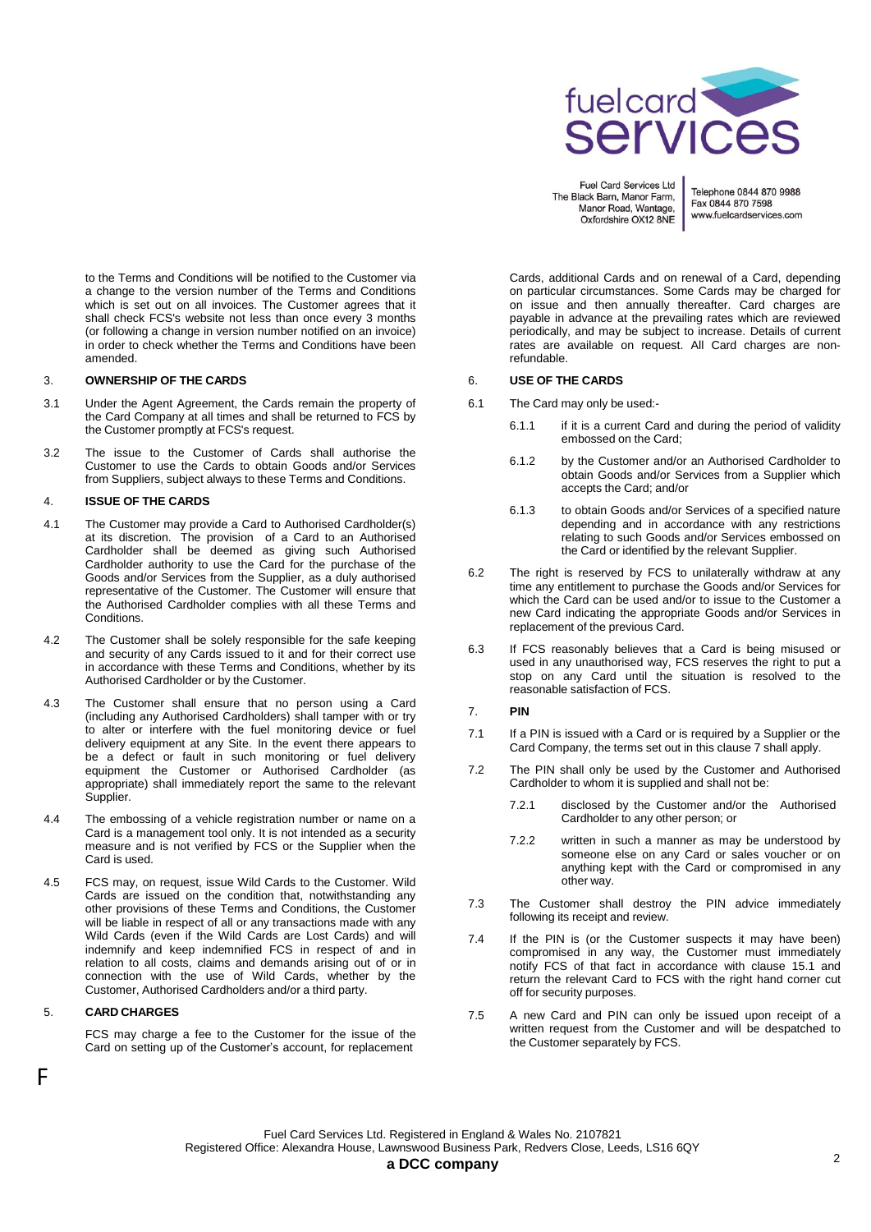

Telephone 0844 870 9988 Fax 0844 870 7598 www.fuelcardservices.com

Cards, additional Cards and on renewal of a Card, depending on particular circumstances. Some Cards may be charged for on issue and then annually thereafter. Card charges are payable in advance at the prevailing rates which are reviewed periodically, and may be subject to increase. Details of current rates are available on request. All Card charges are nonrefundable.

# 6. **USE OF THE CARDS**

- 6.1 The Card may only be used:-
	- 6.1.1 if it is a current Card and during the period of validity embossed on the Card;
	- 6.1.2 by the Customer and/or an Authorised Cardholder to obtain Goods and/or Services from a Supplier which accepts the Card; and/or
	- 6.1.3 to obtain Goods and/or Services of a specified nature depending and in accordance with any restrictions relating to such Goods and/or Services embossed on the Card or identified by the relevant Supplier.
- 6.2 The right is reserved by FCS to unilaterally withdraw at any time any entitlement to purchase the Goods and/or Services for which the Card can be used and/or to issue to the Customer a new Card indicating the appropriate Goods and/or Services in replacement of the previous Card.
- 6.3 If FCS reasonably believes that a Card is being misused or used in any unauthorised way, FCS reserves the right to put a stop on any Card until the situation is resolved to the reasonable satisfaction of FCS.
- 7. **PIN**
- 7.1 If a PIN is issued with a Card or is required by a Supplier or the Card Company, the terms set out in this clause 7 shall apply.
- 7.2 The PIN shall only be used by the Customer and Authorised Cardholder to whom it is supplied and shall not be:
	- 7.2.1 disclosed by the Customer and/or the Authorised Cardholder to any other person; or
	- 7.2.2 written in such a manner as may be understood by someone else on any Card or sales voucher or on anything kept with the Card or compromised in any other way.
- 7.3 The Customer shall destroy the PIN advice immediately following its receipt and review.
- 7.4 If the PIN is (or the Customer suspects it may have been) compromised in any way, the Customer must immediately notify FCS of that fact in accordance with clause 15.1 and return the relevant Card to FCS with the right hand corner cut off for security purposes.
- 7.5 A new Card and PIN can only be issued upon receipt of a written request from the Customer and will be despatched to the Customer separately by FCS.

to the Terms and Conditions will be notified to the Customer via a change to the version number of the Terms and Conditions which is set out on all invoices. The Customer agrees that it shall check FCS's website not less than once every 3 months (or following a change in version number notified on an invoice) in order to check whether the Terms and Conditions have been amended.

#### 3. **OWNERSHIP OF THE CARDS**

- 3.1 Under the Agent Agreement, the Cards remain the property of the Card Company at all times and shall be returned to FCS by the Customer promptly at FCS's request.
- 3.2 The issue to the Customer of Cards shall authorise the Customer to use the Cards to obtain Goods and/or Services from Suppliers, subject always to these Terms and Conditions.

#### 4. **ISSUE OF THE CARDS**

- 4.1 The Customer may provide a Card to Authorised Cardholder(s) at its discretion. The provision of a Card to an Authorised Cardholder shall be deemed as giving such Authorised Cardholder authority to use the Card for the purchase of the Goods and/or Services from the Supplier, as a duly authorised representative of the Customer. The Customer will ensure that the Authorised Cardholder complies with all these Terms and Conditions.
- 4.2 The Customer shall be solely responsible for the safe keeping and security of any Cards issued to it and for their correct use in accordance with these Terms and Conditions, whether by its Authorised Cardholder or by the Customer.
- 4.3 The Customer shall ensure that no person using a Card (including any Authorised Cardholders) shall tamper with or try to alter or interfere with the fuel monitoring device or fuel delivery equipment at any Site. In the event there appears to be a defect or fault in such monitoring or fuel delivery equipment the Customer or Authorised Cardholder (as appropriate) shall immediately report the same to the relevant Supplier.
- 4.4 The embossing of a vehicle registration number or name on a Card is a management tool only. It is not intended as a security measure and is not verified by FCS or the Supplier when the Card is used.
- 4.5 FCS may, on request, issue Wild Cards to the Customer. Wild Cards are issued on the condition that, notwithstanding any other provisions of these Terms and Conditions, the Customer will be liable in respect of all or any transactions made with any Wild Cards (even if the Wild Cards are Lost Cards) and will indemnify and keep indemnified FCS in respect of and in relation to all costs, claims and demands arising out of or in connection with the use of Wild Cards, whether by the Customer, Authorised Cardholders and/or a third party.

### 5. **CARD CHARGES**

F

FCS may charge a fee to the Customer for the issue of the Card on setting up of the Customer's account, for replacement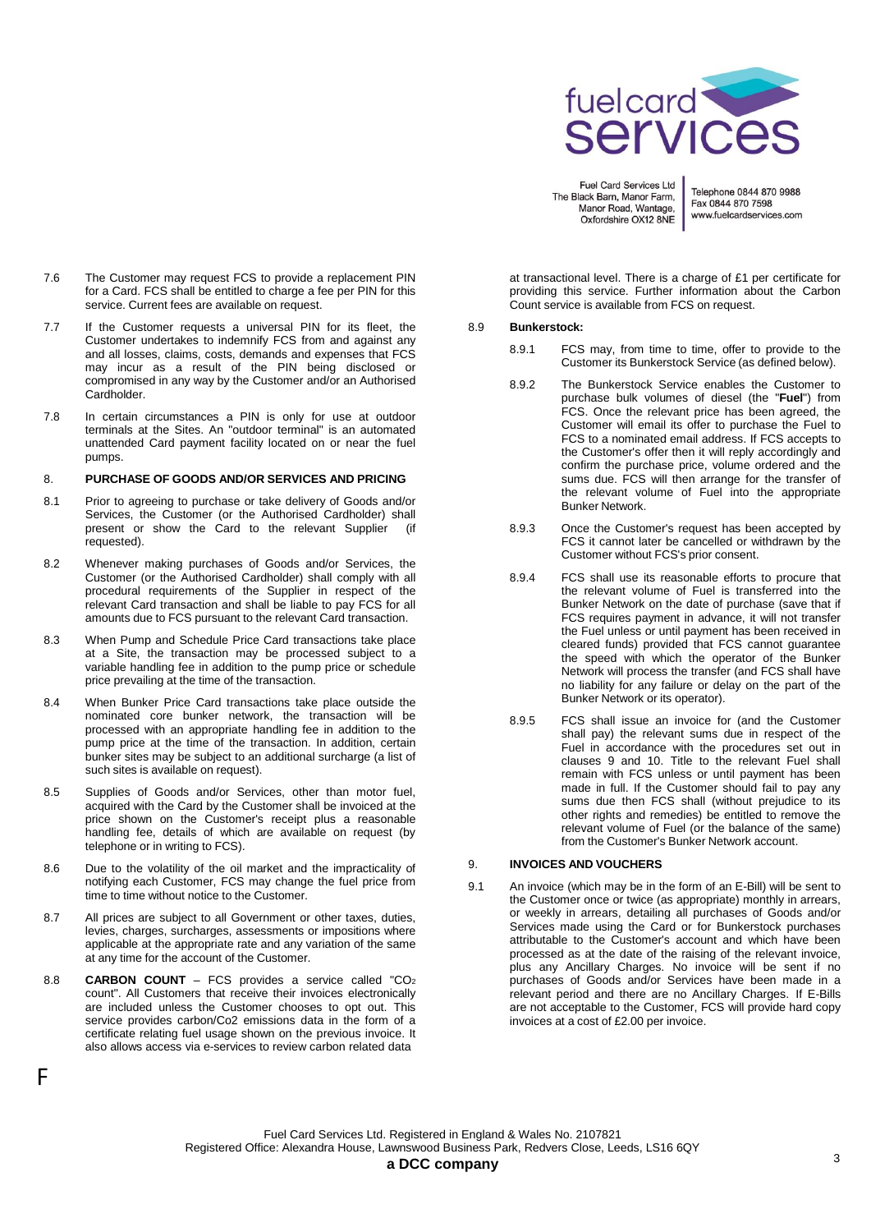

Telephone 0844 870 9988 Fax 0844 870 7598 www.fuelcardservices.com

- 7.6 The Customer may request FCS to provide a replacement PIN for a Card. FCS shall be entitled to charge a fee per PIN for this service. Current fees are available on request.
- 7.7 If the Customer requests a universal PIN for its fleet, the Customer undertakes to indemnify FCS from and against any and all losses, claims, costs, demands and expenses that FCS may incur as a result of the PIN being disclosed or compromised in any way by the Customer and/or an Authorised Cardholder.
- 7.8 In certain circumstances a PIN is only for use at outdoor terminals at the Sites. An "outdoor terminal" is an automated unattended Card payment facility located on or near the fuel pumps.

#### 8. **PURCHASE OF GOODS AND/OR SERVICES AND PRICING**

- 8.1 Prior to agreeing to purchase or take delivery of Goods and/or Services, the Customer (or the Authorised Cardholder) shall present or show the Card to the relevant Supplier (if requested).
- 8.2 Whenever making purchases of Goods and/or Services, the Customer (or the Authorised Cardholder) shall comply with all procedural requirements of the Supplier in respect of the relevant Card transaction and shall be liable to pay FCS for all amounts due to FCS pursuant to the relevant Card transaction.
- 8.3 When Pump and Schedule Price Card transactions take place at a Site, the transaction may be processed subject to a variable handling fee in addition to the pump price or schedule price prevailing at the time of the transaction.
- 8.4 When Bunker Price Card transactions take place outside the nominated core bunker network, the transaction will be processed with an appropriate handling fee in addition to the pump price at the time of the transaction. In addition, certain bunker sites may be subject to an additional surcharge (a list of such sites is available on request).
- 8.5 Supplies of Goods and/or Services, other than motor fuel, acquired with the Card by the Customer shall be invoiced at the price shown on the Customer's receipt plus a reasonable handling fee, details of which are available on request (by telephone or in writing to FCS).
- 8.6 Due to the volatility of the oil market and the impracticality of notifying each Customer, FCS may change the fuel price from time to time without notice to the Customer.
- 8.7 All prices are subject to all Government or other taxes, duties, levies, charges, surcharges, assessments or impositions where applicable at the appropriate rate and any variation of the same at any time for the account of the Customer.
- 8.8 **CARBON COUNT** FCS provides a service called "CO<sup>2</sup> count". All Customers that receive their invoices electronically are included unless the Customer chooses to opt out. This service provides carbon/Co2 emissions data in the form of a certificate relating fuel usage shown on the previous invoice. It also allows access via e-services to review carbon related data

F

at transactional level. There is a charge of £1 per certificate for providing this service. Further information about the Carbon Count service is available from FCS on request.

# 8.9 **Bunkerstock:**

- 8.9.1 FCS may, from time to time, offer to provide to the Customer its Bunkerstock Service (as defined below).
- 8.9.2 The Bunkerstock Service enables the Customer to purchase bulk volumes of diesel (the "**Fuel**") from FCS. Once the relevant price has been agreed, the Customer will email its offer to purchase the Fuel to FCS to a nominated email address. If FCS accepts to the Customer's offer then it will reply accordingly and confirm the purchase price, volume ordered and the sums due. FCS will then arrange for the transfer of the relevant volume of Fuel into the appropriate Bunker Network.
- 8.9.3 Once the Customer's request has been accepted by FCS it cannot later be cancelled or withdrawn by the Customer without FCS's prior consent.
- 8.9.4 FCS shall use its reasonable efforts to procure that the relevant volume of Fuel is transferred into the Bunker Network on the date of purchase (save that if FCS requires payment in advance, it will not transfer the Fuel unless or until payment has been received in cleared funds) provided that FCS cannot guarantee the speed with which the operator of the Bunker Network will process the transfer (and FCS shall have no liability for any failure or delay on the part of the Bunker Network or its operator).
- 8.9.5 FCS shall issue an invoice for (and the Customer shall pay) the relevant sums due in respect of the Fuel in accordance with the procedures set out in clauses 9 and 10. Title to the relevant Fuel shall remain with FCS unless or until payment has been made in full. If the Customer should fail to pay any sums due then FCS shall (without prejudice to its other rights and remedies) be entitled to remove the relevant volume of Fuel (or the balance of the same) from the Customer's Bunker Network account.

### 9. **INVOICES AND VOUCHERS**

9.1 An invoice (which may be in the form of an E-Bill) will be sent to the Customer once or twice (as appropriate) monthly in arrears, or weekly in arrears, detailing all purchases of Goods and/or Services made using the Card or for Bunkerstock purchases attributable to the Customer's account and which have been processed as at the date of the raising of the relevant invoice, plus any Ancillary Charges. No invoice will be sent if no purchases of Goods and/or Services have been made in a relevant period and there are no Ancillary Charges. If E-Bills are not acceptable to the Customer, FCS will provide hard copy invoices at a cost of £2.00 per invoice.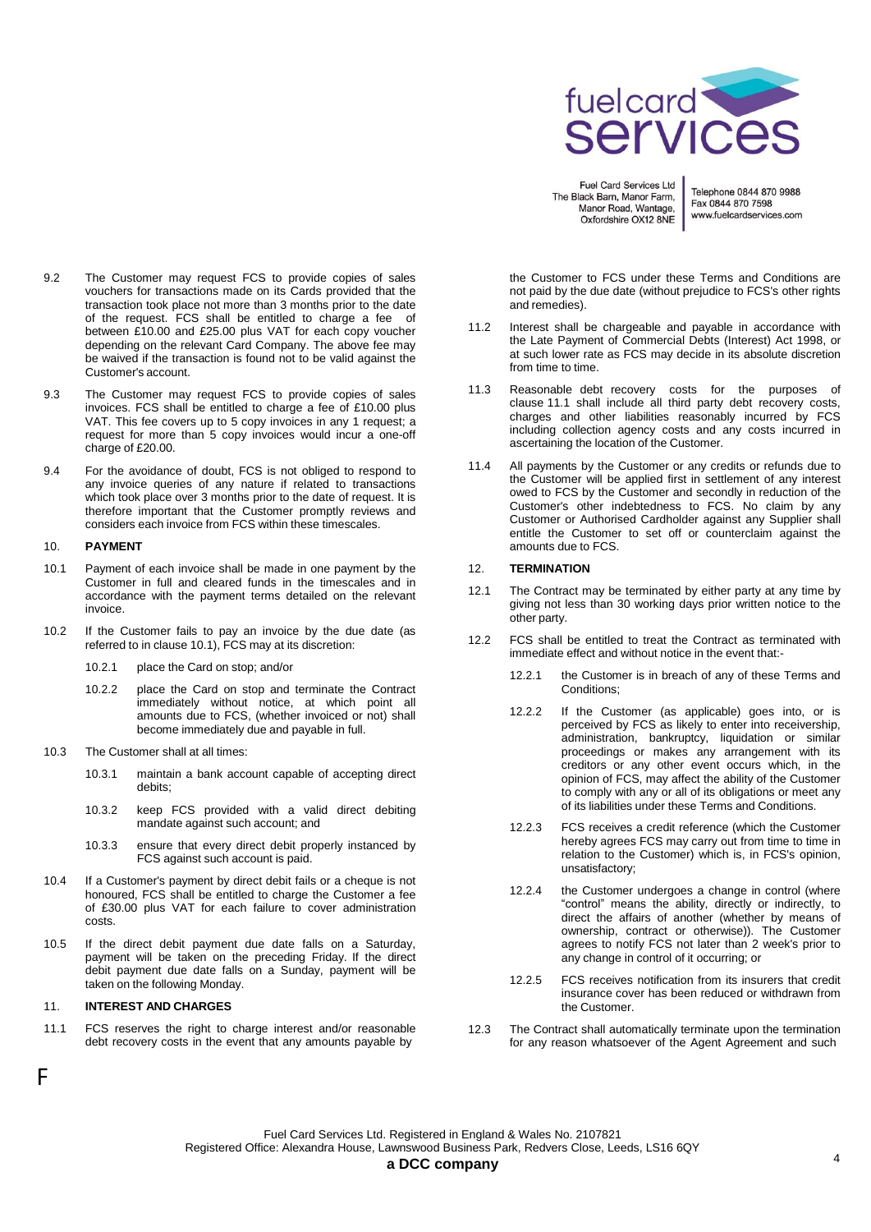

Telephone 0844 870 9988 Fax 0844 870 7598 www.fuelcardservices.com

- 9.2 The Customer may request FCS to provide copies of sales vouchers for transactions made on its Cards provided that the transaction took place not more than 3 months prior to the date of the request. FCS shall be entitled to charge a fee of between £10.00 and £25.00 plus VAT for each copy voucher depending on the relevant Card Company. The above fee may be waived if the transaction is found not to be valid against the Customer's account.
- 9.3 The Customer may request FCS to provide copies of sales invoices. FCS shall be entitled to charge a fee of £10.00 plus VAT. This fee covers up to 5 copy invoices in any 1 request; a request for more than 5 copy invoices would incur a one-off charge of £20.00.
- 9.4 For the avoidance of doubt, FCS is not obliged to respond to any invoice queries of any nature if related to transactions which took place over 3 months prior to the date of request. It is therefore important that the Customer promptly reviews and considers each invoice from FCS within these timescales.

#### 10. **PAYMENT**

- 10.1 Payment of each invoice shall be made in one payment by the Customer in full and cleared funds in the timescales and in accordance with the payment terms detailed on the relevant invoice.
- 10.2 If the Customer fails to pay an invoice by the due date (as referred to in clause 10.1), FCS may at its discretion:
	- 10.2.1 place the Card on stop; and/or
	- 10.2.2 place the Card on stop and terminate the Contract immediately without notice, at which point all amounts due to FCS, (whether invoiced or not) shall become immediately due and payable in full.
- 10.3 The Customer shall at all times:
	- 10.3.1 maintain a bank account capable of accepting direct debits;
	- 10.3.2 keep FCS provided with a valid direct debiting mandate against such account; and
	- 10.3.3 ensure that every direct debit properly instanced by FCS against such account is paid.
- 10.4 If a Customer's payment by direct debit fails or a cheque is not honoured, FCS shall be entitled to charge the Customer a fee of £30.00 plus VAT for each failure to cover administration costs.
- 10.5 If the direct debit payment due date falls on a Saturday, payment will be taken on the preceding Friday. If the direct debit payment due date falls on a Sunday, payment will be taken on the following Monday.

# 11. **INTEREST AND CHARGES**

11.1 FCS reserves the right to charge interest and/or reasonable debt recovery costs in the event that any amounts payable by

the Customer to FCS under these Terms and Conditions are not paid by the due date (without prejudice to FCS's other rights and remedies).

- 11.2 Interest shall be chargeable and payable in accordance with the Late Payment of Commercial Debts (Interest) Act 1998, or at such lower rate as FCS may decide in its absolute discretion from time to time.
- 11.3 Reasonable debt recovery costs for the purposes of clause 11.1 shall include all third party debt recovery costs, charges and other liabilities reasonably incurred by FCS including collection agency costs and any costs incurred in ascertaining the location of the Customer.
- 11.4 All payments by the Customer or any credits or refunds due to the Customer will be applied first in settlement of any interest owed to FCS by the Customer and secondly in reduction of the Customer's other indebtedness to FCS. No claim by any Customer or Authorised Cardholder against any Supplier shall entitle the Customer to set off or counterclaim against the amounts due to FCS.

#### 12. **TERMINATION**

- 12.1 The Contract may be terminated by either party at any time by giving not less than 30 working days prior written notice to the other party.
- 12.2 FCS shall be entitled to treat the Contract as terminated with immediate effect and without notice in the event that:-
	- 12.2.1 the Customer is in breach of any of these Terms and Conditions;
	- 12.2.2 If the Customer (as applicable) goes into, or is perceived by FCS as likely to enter into receivership, administration, bankruptcy, liquidation or similar proceedings or makes any arrangement with its creditors or any other event occurs which, in the opinion of FCS, may affect the ability of the Customer to comply with any or all of its obligations or meet any of its liabilities under these Terms and Conditions.
	- 12.2.3 FCS receives a credit reference (which the Customer hereby agrees FCS may carry out from time to time in relation to the Customer) which is, in FCS's opinion, unsatisfactory;
	- 12.2.4 the Customer undergoes a change in control (where "control" means the ability, directly or indirectly, to direct the affairs of another (whether by means of ownership, contract or otherwise)). The Customer agrees to notify FCS not later than 2 week's prior to any change in control of it occurring; or
	- 12.2.5 FCS receives notification from its insurers that credit insurance cover has been reduced or withdrawn from the Customer.
- 12.3 The Contract shall automatically terminate upon the termination for any reason whatsoever of the Agent Agreement and such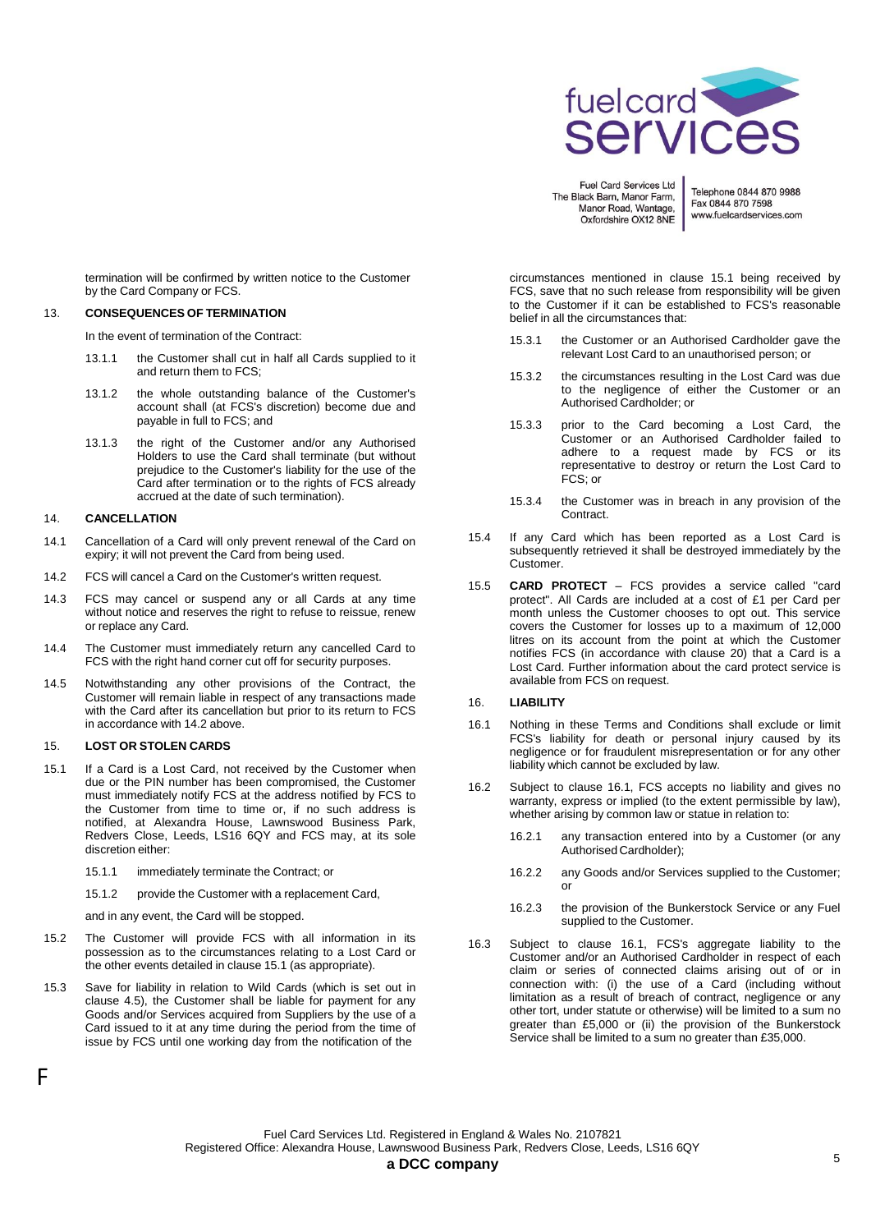

Telephone 0844 870 9988 Fax 0844 870 7598 www.fuelcardservices.com

termination will be confirmed by written notice to the Customer by the Card Company or FCS.

# 13. **CONSEQUENCES OF TERMINATION**

In the event of termination of the Contract:

- 13.1.1 the Customer shall cut in half all Cards supplied to it and return them to FCS;
- 13.1.2 the whole outstanding balance of the Customer's account shall (at FCS's discretion) become due and payable in full to FCS; and
- 13.1.3 the right of the Customer and/or any Authorised Holders to use the Card shall terminate (but without prejudice to the Customer's liability for the use of the Card after termination or to the rights of FCS already accrued at the date of such termination).

### 14. **CANCELLATION**

- 14.1 Cancellation of a Card will only prevent renewal of the Card on expiry; it will not prevent the Card from being used.
- 14.2 FCS will cancel a Card on the Customer's written request.
- 14.3 FCS may cancel or suspend any or all Cards at any time without notice and reserves the right to refuse to reissue, renew or replace any Card.
- 14.4 The Customer must immediately return any cancelled Card to FCS with the right hand corner cut off for security purposes.
- 14.5 Notwithstanding any other provisions of the Contract, the Customer will remain liable in respect of any transactions made with the Card after its cancellation but prior to its return to FCS in accordance with 14.2 above.

### 15. **LOST OR STOLEN CARDS**

F

- 15.1 If a Card is a Lost Card, not received by the Customer when due or the PIN number has been compromised, the Customer must immediately notify FCS at the address notified by FCS to the Customer from time to time or, if no such address is notified, at Alexandra House, Lawnswood Business Park, Redvers Close, Leeds, LS16 6QY and FCS may, at its sole discretion either:
	- 15.1.1 immediately terminate the Contract; or
	- 15.1.2 provide the Customer with a replacement Card,

and in any event, the Card will be stopped.

- 15.2 The Customer will provide FCS with all information in its possession as to the circumstances relating to a Lost Card or the other events detailed in clause 15.1 (as appropriate).
- 15.3 Save for liability in relation to Wild Cards (which is set out in clause 4.5), the Customer shall be liable for payment for any Goods and/or Services acquired from Suppliers by the use of a Card issued to it at any time during the period from the time of issue by FCS until one working day from the notification of the

circumstances mentioned in clause 15.1 being received by FCS, save that no such release from responsibility will be given to the Customer if it can be established to FCS's reasonable belief in all the circumstances that:

- 15.3.1 the Customer or an Authorised Cardholder gave the relevant Lost Card to an unauthorised person; or
- 15.3.2 the circumstances resulting in the Lost Card was due to the negligence of either the Customer or an Authorised Cardholder; or
- 15.3.3 prior to the Card becoming a Lost Card, the Customer or an Authorised Cardholder failed to adhere to a request made by FCS or its representative to destroy or return the Lost Card to  $FCS$ ; or
- 15.3.4 the Customer was in breach in any provision of the Contract.
- 15.4 If any Card which has been reported as a Lost Card is subsequently retrieved it shall be destroyed immediately by the Customer.
- 15.5 **CARD PROTECT** FCS provides a service called "card protect". All Cards are included at a cost of £1 per Card per month unless the Customer chooses to opt out. This service covers the Customer for losses up to a maximum of 12,000 litres on its account from the point at which the Customer notifies FCS (in accordance with clause 20) that a Card is a Lost Card. Further information about the card protect service is available from FCS on request.

### 16. **LIABILITY**

- 16.1 Nothing in these Terms and Conditions shall exclude or limit FCS's liability for death or personal injury caused by its negligence or for fraudulent misrepresentation or for any other liability which cannot be excluded by law.
- 16.2 Subject to clause 16.1, FCS accepts no liability and gives no warranty, express or implied (to the extent permissible by law), whether arising by common law or statue in relation to:
	- 16.2.1 any transaction entered into by a Customer (or any Authorised Cardholder);
	- 16.2.2 any Goods and/or Services supplied to the Customer; or
	- 16.2.3 the provision of the Bunkerstock Service or any Fuel supplied to the Customer.
- 16.3 Subject to clause 16.1, FCS's aggregate liability to the Customer and/or an Authorised Cardholder in respect of each claim or series of connected claims arising out of or in connection with: (i) the use of a Card (including without limitation as a result of breach of contract, negligence or any other tort, under statute or otherwise) will be limited to a sum no greater than £5,000 or (ii) the provision of the Bunkerstock Service shall be limited to a sum no greater than £35,000.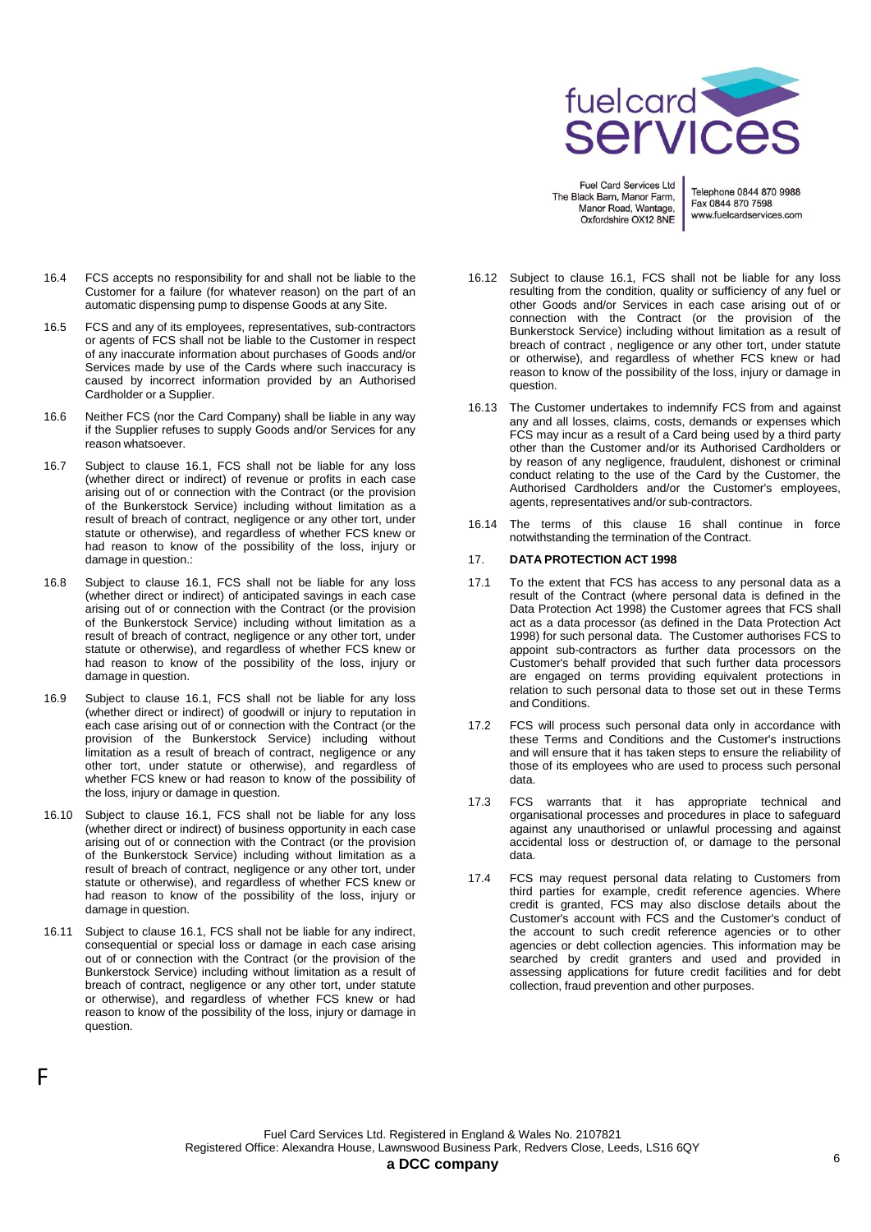

Telephone 0844 870 9988 Fax 0844 870 7598 www.fuelcardservices.com

- 16.4 FCS accepts no responsibility for and shall not be liable to the Customer for a failure (for whatever reason) on the part of an automatic dispensing pump to dispense Goods at any Site.
- 16.5 FCS and any of its employees, representatives, sub-contractors or agents of FCS shall not be liable to the Customer in respect of any inaccurate information about purchases of Goods and/or Services made by use of the Cards where such inaccuracy is caused by incorrect information provided by an Authorised Cardholder or a Supplier.
- 16.6 Neither FCS (nor the Card Company) shall be liable in any way if the Supplier refuses to supply Goods and/or Services for any reason whatsoever.
- 16.7 Subject to clause 16.1, FCS shall not be liable for any loss (whether direct or indirect) of revenue or profits in each case arising out of or connection with the Contract (or the provision of the Bunkerstock Service) including without limitation as a result of breach of contract, negligence or any other tort, under statute or otherwise), and regardless of whether FCS knew or had reason to know of the possibility of the loss, injury or damage in question.:
- 16.8 Subject to clause 16.1, FCS shall not be liable for any loss (whether direct or indirect) of anticipated savings in each case arising out of or connection with the Contract (or the provision of the Bunkerstock Service) including without limitation as a result of breach of contract, negligence or any other tort, under statute or otherwise), and regardless of whether FCS knew or had reason to know of the possibility of the loss, injury or damage in question.
- 16.9 Subject to clause 16.1, FCS shall not be liable for any loss (whether direct or indirect) of goodwill or injury to reputation in each case arising out of or connection with the Contract (or the provision of the Bunkerstock Service) including without limitation as a result of breach of contract, negligence or any other tort, under statute or otherwise), and regardless of whether FCS knew or had reason to know of the possibility of the loss, injury or damage in question.
- 16.10 Subject to clause 16.1, FCS shall not be liable for any loss (whether direct or indirect) of business opportunity in each case arising out of or connection with the Contract (or the provision of the Bunkerstock Service) including without limitation as a result of breach of contract, negligence or any other tort, under statute or otherwise), and regardless of whether FCS knew or had reason to know of the possibility of the loss, injury or damage in question.
- 16.11 Subject to clause 16.1, FCS shall not be liable for any indirect, consequential or special loss or damage in each case arising out of or connection with the Contract (or the provision of the Bunkerstock Service) including without limitation as a result of breach of contract, negligence or any other tort, under statute or otherwise), and regardless of whether FCS knew or had reason to know of the possibility of the loss, injury or damage in question.

F

- 16.12 Subject to clause 16.1, FCS shall not be liable for any loss resulting from the condition, quality or sufficiency of any fuel or other Goods and/or Services in each case arising out of or connection with the Contract (or the provision of the Bunkerstock Service) including without limitation as a result of breach of contract , negligence or any other tort, under statute or otherwise), and regardless of whether FCS knew or had reason to know of the possibility of the loss, injury or damage in question.
- 16.13 The Customer undertakes to indemnify FCS from and against any and all losses, claims, costs, demands or expenses which FCS may incur as a result of a Card being used by a third party other than the Customer and/or its Authorised Cardholders or by reason of any negligence, fraudulent, dishonest or criminal conduct relating to the use of the Card by the Customer, the Authorised Cardholders and/or the Customer's employees, agents, representatives and/or sub-contractors.
- 16.14 The terms of this clause 16 shall continue in force notwithstanding the termination of the Contract.

# 17. **DATA PROTECTION ACT 1998**

- 17.1 To the extent that FCS has access to any personal data as a result of the Contract (where personal data is defined in the Data Protection Act 1998) the Customer agrees that FCS shall act as a data processor (as defined in the Data Protection Act 1998) for such personal data. The Customer authorises FCS to appoint sub-contractors as further data processors on the Customer's behalf provided that such further data processors are engaged on terms providing equivalent protections in relation to such personal data to those set out in these Terms and Conditions.
- 17.2 FCS will process such personal data only in accordance with these Terms and Conditions and the Customer's instructions and will ensure that it has taken steps to ensure the reliability of those of its employees who are used to process such personal data.
- 17.3 FCS warrants that it has appropriate technical and organisational processes and procedures in place to safeguard against any unauthorised or unlawful processing and against accidental loss or destruction of, or damage to the personal data.
- 17.4 FCS may request personal data relating to Customers from third parties for example, credit reference agencies. Where credit is granted, FCS may also disclose details about the Customer's account with FCS and the Customer's conduct of the account to such credit reference agencies or to other agencies or debt collection agencies. This information may be searched by credit granters and used and provided in assessing applications for future credit facilities and for debt collection, fraud prevention and other purposes.